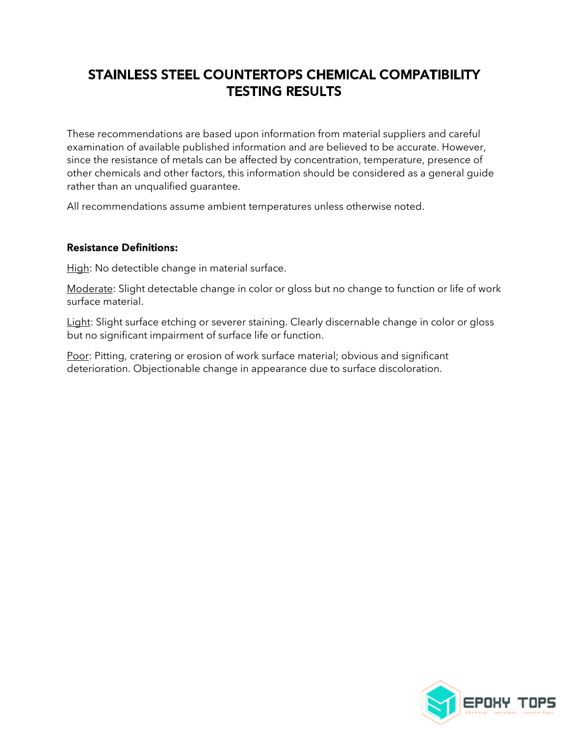## **STAINLESS STEEL COUNTERTOPS CHEMICAL COMPATIBILITY TESTING RESULTS**

These recommendations are based upon information from material suppliers and careful examination of available published information and are believed to be accurate. However, since the resistance of metals can be affected by concentration, temperature, presence of other chemicals and other factors, this information should be considered as a general guide rather than an unqualified guarantee.

All recommendations assume ambient temperatures unless otherwise noted.

## **Resistance Definitions:**

High: No detectible change in material surface.

Moderate: Slight detectable change in color or gloss but no change to function or life of work surface material.

Light: Slight surface etching or severer staining. Clearly discernable change in color or gloss but no significant impairment of surface life or function.

Poor: Pitting, cratering or erosion of work surface material; obvious and significant deterioration. Objectionable change in appearance due to surface discoloration.

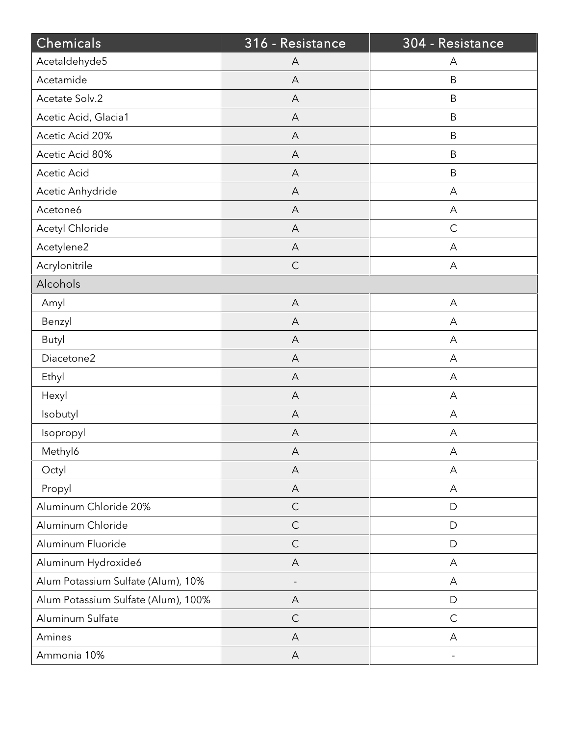| Chemicals                           | 316 - Resistance          | 304 - Resistance |
|-------------------------------------|---------------------------|------------------|
| Acetaldehyde5                       | A                         | Α                |
| Acetamide                           | A                         | B                |
| Acetate Solv.2                      | $\overline{A}$            | $\mathsf B$      |
| Acetic Acid, Glacia1                | A                         | $\sf B$          |
| Acetic Acid 20%                     | $\mathsf{A}$              | B                |
| Acetic Acid 80%                     | $\overline{A}$            | $\mathsf B$      |
| Acetic Acid                         | A                         | $\sf B$          |
| Acetic Anhydride                    | $\mathsf{A}$              | A                |
| Acetone6                            | $\overline{A}$            | A                |
| Acetyl Chloride                     | A                         | $\mathsf C$      |
| Acetylene2                          | A                         | A                |
| Acrylonitrile                       | $\mathsf C$               | A                |
| Alcohols                            |                           |                  |
| Amyl                                | A                         | A                |
| Benzyl                              | $\overline{A}$            | A                |
| <b>Butyl</b>                        | A                         | Α                |
| Diacetone2                          | A                         | A                |
| Ethyl                               | $\overline{A}$            | A                |
| Hexyl                               | A                         | Α                |
| Isobutyl                            | A                         | A                |
| Isopropyl                           | $\boldsymbol{\mathsf{A}}$ | A                |
| Methyl6                             | A                         | A                |
| Octyl                               | A                         | A                |
| Propyl                              | $\overline{A}$            | A                |
| Aluminum Chloride 20%               | $\mathsf{C}$              | D                |
| Aluminum Chloride                   | $\mathsf C$               | D                |
| Aluminum Fluoride                   | $\mathsf C$               | D                |
| Aluminum Hydroxide6                 | A                         | A                |
| Alum Potassium Sulfate (Alum), 10%  |                           | A                |
| Alum Potassium Sulfate (Alum), 100% | $\overline{A}$            | D                |
| Aluminum Sulfate                    | $\mathsf{C}$              | $\mathsf C$      |
| Amines                              | A                         | A                |
| Ammonia 10%                         | $\boldsymbol{\mathsf{A}}$ |                  |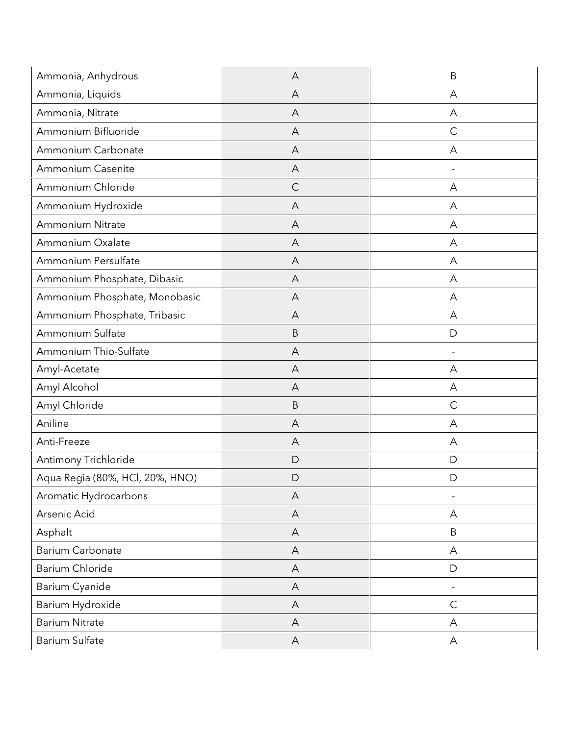| Ammonia, Anhydrous              | A              | B                        |
|---------------------------------|----------------|--------------------------|
| Ammonia, Liquids                | A              | A                        |
| Ammonia, Nitrate                | A              | А                        |
| Ammonium Bifluoride             | A              | $\mathsf{C}$             |
| Ammonium Carbonate              | $\overline{A}$ | A                        |
| Ammonium Casenite               | A              | $\overline{\phantom{a}}$ |
| Ammonium Chloride               | $\mathsf{C}$   | А                        |
| Ammonium Hydroxide              | A              | А                        |
| <b>Ammonium Nitrate</b>         | A              | А                        |
| Ammonium Oxalate                | A              | А                        |
| Ammonium Persulfate             | A              | А                        |
| Ammonium Phosphate, Dibasic     | A              | A                        |
| Ammonium Phosphate, Monobasic   | A              | А                        |
| Ammonium Phosphate, Tribasic    | A              | A                        |
| Ammonium Sulfate                | $\sf B$        | D                        |
| Ammonium Thio-Sulfate           | A              | $\overline{\phantom{a}}$ |
| Amyl-Acetate                    | A              | А                        |
| Amyl Alcohol                    | A              | А                        |
| Amyl Chloride                   | B              | $\mathsf C$              |
| Aniline                         | A              | A                        |
| Anti-Freeze                     | A              | А                        |
| Antimony Trichloride            | D              | D                        |
| Aqua Regia (80%, HCl, 20%, HNO) | D              | D                        |
| Aromatic Hydrocarbons           | A              |                          |
| Arsenic Acid                    | A              | Α                        |
| Asphalt                         | A              | B                        |
| <b>Barium Carbonate</b>         | $\mathsf{A}$   | A                        |
| Barium Chloride                 | A              | D                        |
| Barium Cyanide                  | A              | $\qquad \qquad -$        |
| Barium Hydroxide                | A              | $\mathsf C$              |
| <b>Barium Nitrate</b>           | $\overline{A}$ | A                        |
| Barium Sulfate                  | $\mathsf{A}$   | Α                        |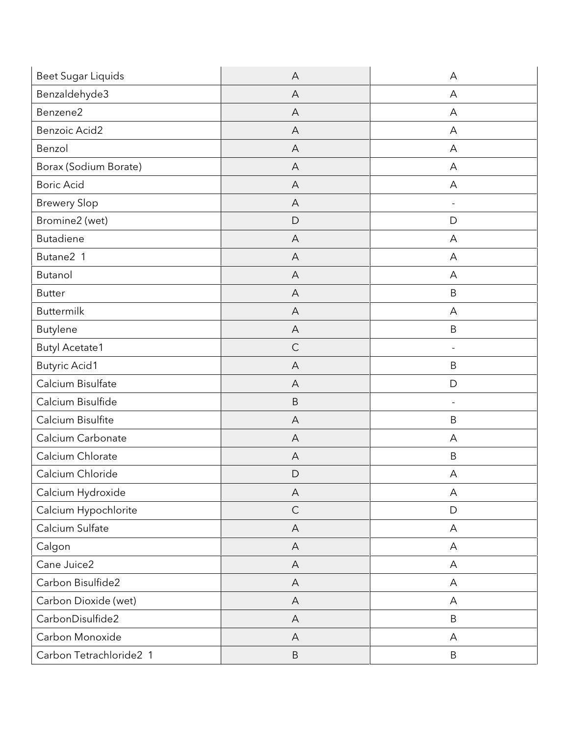| <b>Beet Sugar Liquids</b> | A              | A                            |
|---------------------------|----------------|------------------------------|
| Benzaldehyde3             | $\overline{A}$ | A                            |
| Benzene2                  | A              | A                            |
| <b>Benzoic Acid2</b>      | A              | A                            |
| Benzol                    | A              | A                            |
| Borax (Sodium Borate)     | $\forall$      | A                            |
| <b>Boric Acid</b>         | A              | A                            |
| <b>Brewery Slop</b>       | A              | $\qquad \qquad \blacksquare$ |
| Bromine2 (wet)            | D              | D                            |
| <b>Butadiene</b>          | A              | А                            |
| Butane2 1                 | A              | A                            |
| Butanol                   | A              | А                            |
| <b>Butter</b>             | A              | B                            |
| <b>Buttermilk</b>         | A              | A                            |
| <b>Butylene</b>           | A              | $\mathsf B$                  |
| <b>Butyl Acetate1</b>     | $\mathsf{C}$   | $\overline{\phantom{a}}$     |
| <b>Butyric Acid1</b>      | A              | $\sf B$                      |
| Calcium Bisulfate         | A              | D                            |
| Calcium Bisulfide         | $\sf B$        | $\overline{\phantom{a}}$     |
| Calcium Bisulfite         | A              | B                            |
| Calcium Carbonate         | A              | A                            |
| Calcium Chlorate          | $\forall$      | $\sf B$                      |
| Calcium Chloride          | D              | A                            |
| Calcium Hydroxide         | A              | A                            |
| Calcium Hypochlorite      | $\mathsf{C}$   | $\mathsf{D}$                 |
| Calcium Sulfate           | $\mathsf{A}$   | A                            |
| Calgon                    | $\mathsf{A}$   | Α                            |
| Cane Juice2               | A              | A                            |
| Carbon Bisulfide2         | $\mathsf{A}$   | A                            |
| Carbon Dioxide (wet)      | A              | A                            |
| CarbonDisulfide2          | A              | B                            |
| Carbon Monoxide           | A              | A                            |
| Carbon Tetrachloride2 1   | $\sf B$        | B                            |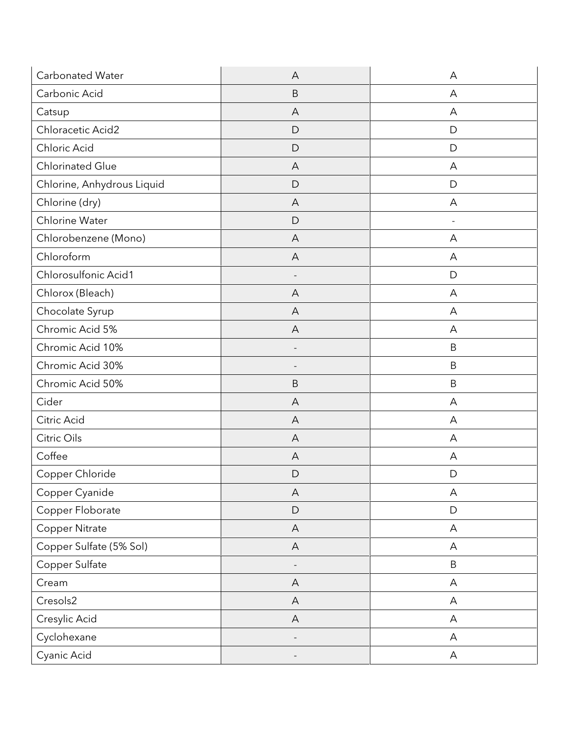| Carbonated Water           | A                         | A                         |
|----------------------------|---------------------------|---------------------------|
| Carbonic Acid              | $\sf B$                   | A                         |
| Catsup                     | A                         | A                         |
| Chloracetic Acid2          | D                         | D                         |
| Chloric Acid               | D                         | D                         |
| <b>Chlorinated Glue</b>    | $\overline{A}$            | A                         |
| Chlorine, Anhydrous Liquid | D                         | D                         |
| Chlorine (dry)             | A                         | А                         |
| Chlorine Water             | D                         |                           |
| Chlorobenzene (Mono)       | A                         | A                         |
| Chloroform                 | A                         | A                         |
| Chlorosulfonic Acid1       |                           | D                         |
| Chlorox (Bleach)           | A                         | A                         |
| Chocolate Syrup            | A                         | A                         |
| Chromic Acid 5%            | A                         | A                         |
| Chromic Acid 10%           | $\overline{\phantom{a}}$  | B                         |
| Chromic Acid 30%           | $\overline{\phantom{a}}$  | $\mathsf B$               |
| Chromic Acid 50%           | B                         | B                         |
| Cider                      | A                         | А                         |
| Citric Acid                | A                         | A                         |
| Citric Oils                | A                         | A                         |
| Coffee                     | $\overline{A}$            | A                         |
| Copper Chloride            | D                         | D                         |
| Copper Cyanide             | $\boldsymbol{\mathsf{A}}$ | A                         |
| Copper Floborate           | D                         | $\mathsf D$               |
| Copper Nitrate             | $\boldsymbol{\mathsf{A}}$ | $\boldsymbol{\mathsf{A}}$ |
| Copper Sulfate (5% Sol)    | A                         | Α                         |
| Copper Sulfate             | $\overline{a}$            | $\sf B$                   |
| Cream                      | $\mathsf{A}$              | $\mathsf A$               |
| Cresols2                   | $\forall$                 | A                         |
| Cresylic Acid              | $\mathsf{A}$              | А                         |
| Cyclohexane                |                           | А                         |
| Cyanic Acid                |                           | A                         |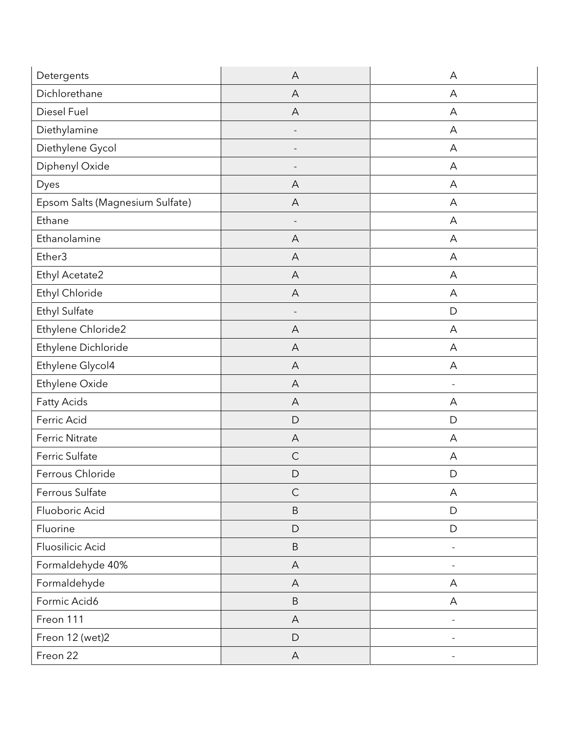| Detergents                      | A              | A                        |
|---------------------------------|----------------|--------------------------|
| Dichlorethane                   | $\overline{A}$ | A                        |
| Diesel Fuel                     | A              | A                        |
| Diethylamine                    |                | A                        |
| Diethylene Gycol                |                | A                        |
| Diphenyl Oxide                  |                | A                        |
| Dyes                            | A              | A                        |
| Epsom Salts (Magnesium Sulfate) | A              | A                        |
| Ethane                          |                | A                        |
| Ethanolamine                    | A              | A                        |
| Ether3                          | A              | A                        |
| Ethyl Acetate2                  | A              | A                        |
| Ethyl Chloride                  | A              | A                        |
| Ethyl Sulfate                   |                | $\mathsf{D}$             |
| Ethylene Chloride2              | A              | A                        |
| Ethylene Dichloride             | A              | A                        |
| Ethylene Glycol4                | A              | A                        |
| Ethylene Oxide                  | A              |                          |
| <b>Fatty Acids</b>              | A              | A                        |
| Ferric Acid                     | D              | D                        |
| <b>Ferric Nitrate</b>           | A              | A                        |
| Ferric Sulfate                  | $\mathsf{C}$   | A                        |
| Ferrous Chloride                | D              | D                        |
| Ferrous Sulfate                 | $\mathsf{C}$   | Α                        |
| Fluoboric Acid                  | $\sf B$        | $\mathsf{D}$             |
| Fluorine                        | D              | D                        |
| Fluosilicic Acid                | $\sf B$        |                          |
| Formaldehyde 40%                | A              |                          |
| Formaldehyde                    | A              | A                        |
| Formic Acid6                    | $\sf B$        | A                        |
| Freon 111                       | A              | $\overline{\phantom{a}}$ |
| Freon 12 (wet)2                 | D              |                          |
| Freon 22                        | $\mathsf{A}$   |                          |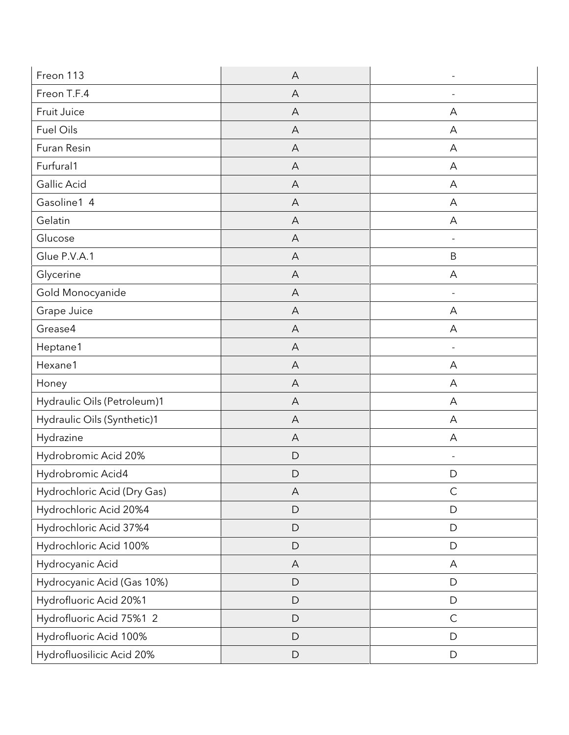| Freon 113                   | A            |                          |
|-----------------------------|--------------|--------------------------|
| Freon T.F.4                 | A            |                          |
| Fruit Juice                 | A            | А                        |
| <b>Fuel Oils</b>            | A            | A                        |
| Furan Resin                 | A            | A                        |
| Furfural1                   | A            | A                        |
| Gallic Acid                 | A            | A                        |
| Gasoline1 4                 | A            | А                        |
| Gelatin                     | A            | A                        |
| Glucose                     | A            |                          |
| Glue P.V.A.1                | A            | B                        |
| Glycerine                   | A            | A                        |
| Gold Monocyanide            | A            |                          |
| Grape Juice                 | A            | A                        |
| Grease4                     | A            | A                        |
| Heptane1                    | A            | $\overline{\phantom{a}}$ |
| Hexane1                     | A            | A                        |
| Honey                       | A            | A                        |
| Hydraulic Oils (Petroleum)1 | A            | А                        |
| Hydraulic Oils (Synthetic)1 | A            | А                        |
| Hydrazine                   | A            | A                        |
| Hydrobromic Acid 20%        | $\mathsf{D}$ |                          |
| Hydrobromic Acid4           | D            | D                        |
| Hydrochloric Acid (Dry Gas) | A            | $\mathsf C$              |
| Hydrochloric Acid 20%4      | $\mathsf D$  | $\mathsf{D}$             |
| Hydrochloric Acid 37%4      | $\mathsf D$  | $\mathsf{D}$             |
| Hydrochloric Acid 100%      | D            | $\mathsf{D}$             |
| Hydrocyanic Acid            | A            | A                        |
| Hydrocyanic Acid (Gas 10%)  | $\mathsf D$  | $\mathsf D$              |
| Hydrofluoric Acid 20%1      | $\mathsf D$  | $\mathsf D$              |
| Hydrofluoric Acid 75%1 2    | $\mathsf D$  | $\mathsf C$              |
| Hydrofluoric Acid 100%      | D            | $\mathsf{D}$             |
| Hydrofluosilicic Acid 20%   | $\mathsf D$  | $\mathsf D$              |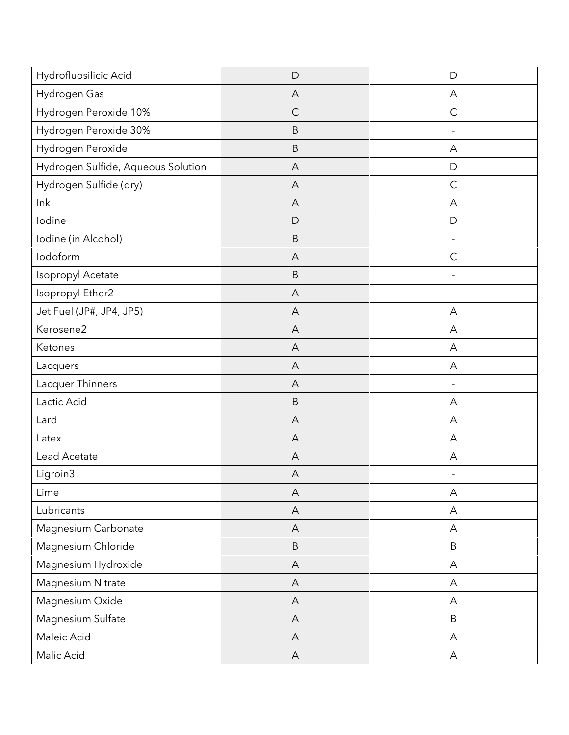| Hydrofluosilicic Acid              | D              | D                         |
|------------------------------------|----------------|---------------------------|
| Hydrogen Gas                       | A              | А                         |
| Hydrogen Peroxide 10%              | $\mathsf{C}$   | $\mathsf C$               |
| Hydrogen Peroxide 30%              | B              |                           |
| Hydrogen Peroxide                  | $\sf B$        | A                         |
| Hydrogen Sulfide, Aqueous Solution | A              | $\mathsf D$               |
| Hydrogen Sulfide (dry)             | A              | $\mathsf{C}$              |
| lnk                                | A              | A                         |
| lodine                             | D              | D                         |
| Iodine (in Alcohol)                | B              |                           |
| lodoform                           | A              | $\mathsf C$               |
| Isopropyl Acetate                  | $\sf B$        |                           |
| Isopropyl Ether2                   | A              |                           |
| Jet Fuel (JP#, JP4, JP5)           | $\overline{A}$ | Α                         |
| Kerosene2                          | A              | A                         |
| Ketones                            | A              | A                         |
| Lacquers                           | A              | A                         |
| Lacquer Thinners                   | A              |                           |
| Lactic Acid                        | $\sf B$        | A                         |
| Lard                               | A              | А                         |
| Latex                              | A              | Α                         |
| Lead Acetate                       | A              | Α                         |
| Ligroin3                           | A              |                           |
| Lime                               | A              | A                         |
| Lubricants                         | $\mathsf{A}$   | А                         |
| Magnesium Carbonate                | $\overline{A}$ | А                         |
| Magnesium Chloride                 | $\sf B$        | $\mathsf B$               |
| Magnesium Hydroxide                | $\mathsf{A}$   | A                         |
| Magnesium Nitrate                  | $\mathsf{A}$   | $\boldsymbol{\mathsf{A}}$ |
| Magnesium Oxide                    | $\overline{A}$ | A                         |
| Magnesium Sulfate                  | $\mathsf{A}$   | $\sf B$                   |
| Maleic Acid                        | $\mathsf{A}$   | $\boldsymbol{\mathsf{A}}$ |
| Malic Acid                         | $\mathsf{A}$   | A                         |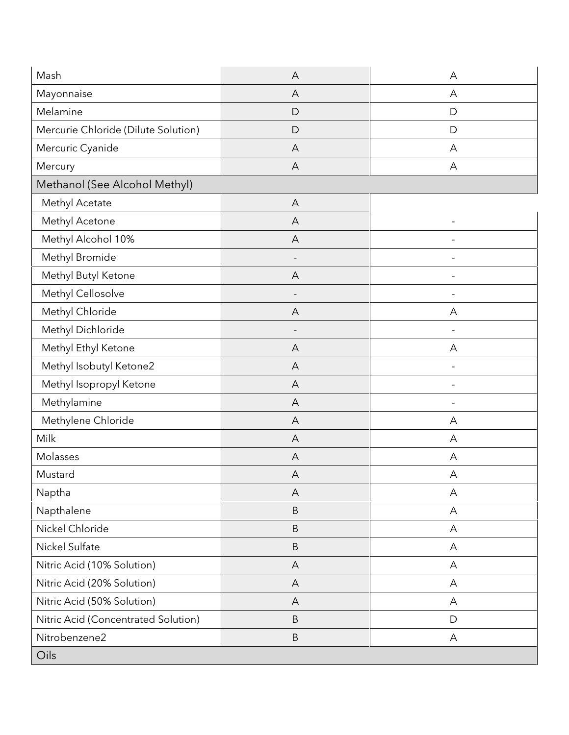| Mash                                | A                         | A |
|-------------------------------------|---------------------------|---|
| Mayonnaise                          | A                         | А |
| Melamine                            | D                         | D |
| Mercurie Chloride (Dilute Solution) | D                         | D |
| Mercuric Cyanide                    | A                         | А |
| Mercury                             | $\overline{A}$            | A |
| Methanol (See Alcohol Methyl)       |                           |   |
| Methyl Acetate                      | A                         |   |
| Methyl Acetone                      | A                         |   |
| Methyl Alcohol 10%                  | A                         |   |
| Methyl Bromide                      | $\overline{\phantom{a}}$  |   |
| Methyl Butyl Ketone                 | A                         |   |
| Methyl Cellosolve                   |                           |   |
| Methyl Chloride                     | A                         | A |
| Methyl Dichloride                   |                           |   |
| Methyl Ethyl Ketone                 | A                         | Α |
| Methyl Isobutyl Ketone2             | $\forall$                 |   |
| Methyl Isopropyl Ketone             | A                         |   |
| Methylamine                         | A                         |   |
| Methylene Chloride                  | A                         | A |
| Milk                                | A                         | А |
| Molasses                            | A                         | A |
| Mustard                             | A                         | A |
| Naptha                              | A                         | А |
| Napthalene                          | $\sf B$                   | А |
| Nickel Chloride                     | $\sf B$                   | А |
| Nickel Sulfate                      | $\sf B$                   | Α |
| Nitric Acid (10% Solution)          | A                         | А |
| Nitric Acid (20% Solution)          | $\boldsymbol{\mathsf{A}}$ | А |
| Nitric Acid (50% Solution)          | A                         | Α |
| Nitric Acid (Concentrated Solution) | $\sf B$                   | D |
| Nitrobenzene2                       | $\sf B$                   | А |
| Oils                                |                           |   |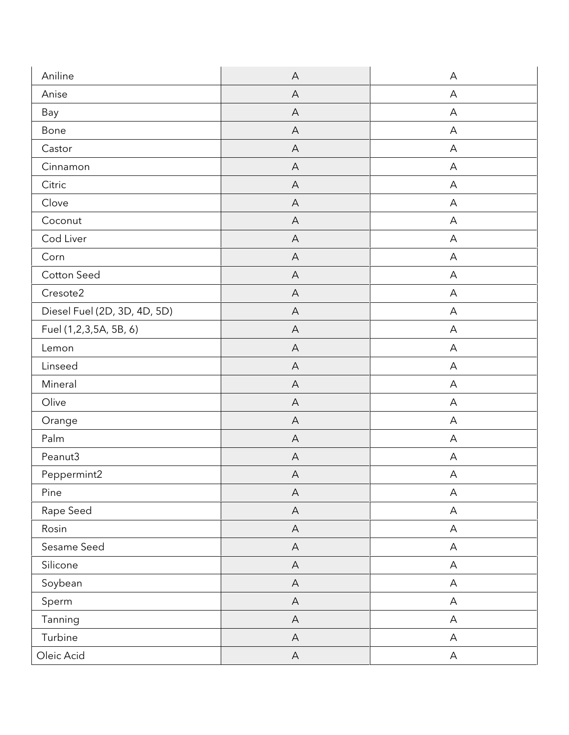| Aniline                      | $\mathsf{A}$              | A                         |
|------------------------------|---------------------------|---------------------------|
| Anise                        | $\overline{A}$            | A                         |
| Bay                          | A                         | A                         |
| Bone                         | A                         | A                         |
| Castor                       | $\forall$                 | A                         |
| Cinnamon                     | $\forall$                 | A                         |
| Citric                       | A                         | A                         |
| Clove                        | A                         | A                         |
| Coconut                      | $\forall$                 | A                         |
| Cod Liver                    | $\overline{A}$            | A                         |
| Corn                         | A                         | A                         |
| Cotton Seed                  | A                         | A                         |
| Cresote2                     | $\overline{A}$            | A                         |
| Diesel Fuel (2D, 3D, 4D, 5D) | $\forall$                 | A                         |
| Fuel (1,2,3,5A, 5B, 6)       | A                         | A                         |
| Lemon                        | A                         | A                         |
| Linseed                      | $\boldsymbol{\mathsf{A}}$ | A                         |
| Mineral                      | A                         | A                         |
| Olive                        | A                         | A                         |
| Orange                       | A                         | A                         |
| Palm                         | $\overline{A}$            | A                         |
| Peanut3                      | $\mathsf{A}$              | A                         |
| Peppermint2                  | A                         | A                         |
| Pine                         | $\boldsymbol{\mathsf{A}}$ | $\boldsymbol{\mathsf{A}}$ |
| Rape Seed                    | $\boldsymbol{\mathsf{A}}$ | $\boldsymbol{\mathsf{A}}$ |
| Rosin                        | $\mathsf{A}$              | A                         |
| Sesame Seed                  | $\mathsf{A}$              | $\boldsymbol{\mathsf{A}}$ |
| Silicone                     | $\mathsf{A}$              | $\boldsymbol{\mathsf{A}}$ |
| Soybean                      | $\boldsymbol{\mathsf{A}}$ | $\mathsf A$               |
| Sperm                        | $\boldsymbol{\mathsf{A}}$ | $\boldsymbol{\mathsf{A}}$ |
| Tanning                      | $\mathsf{A}$              | A                         |
| Turbine                      | $\mathsf{A}$              | $\boldsymbol{\mathsf{A}}$ |
| Oleic Acid                   | $\mathsf A$               | $\boldsymbol{\mathsf{A}}$ |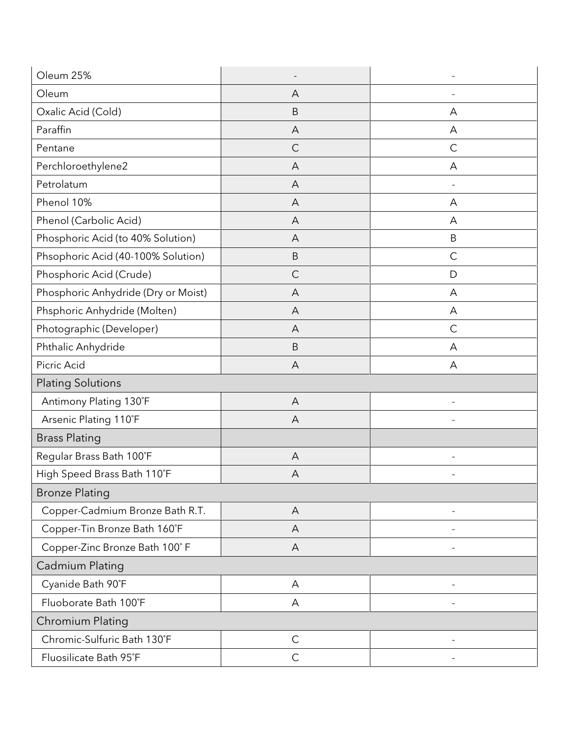| Oleum 25%                           |              |              |
|-------------------------------------|--------------|--------------|
| Oleum                               | Α            |              |
| Oxalic Acid (Cold)                  | $\sf B$      | А            |
| Paraffin                            | Α            | Α            |
| Pentane                             | $\mathsf{C}$ | $\mathsf{C}$ |
| Perchloroethylene2                  | A            | A            |
| Petrolatum                          | Α            |              |
| Phenol 10%                          | A            | А            |
| Phenol (Carbolic Acid)              | A            | А            |
| Phosphoric Acid (to 40% Solution)   | Α            | B            |
| Phsophoric Acid (40-100% Solution)  | $\sf B$      | $\mathsf{C}$ |
| Phosphoric Acid (Crude)             | C            | D            |
| Phosphoric Anhydride (Dry or Moist) | A            | A            |
| Phsphoric Anhydride (Molten)        | A            | A            |
| Photographic (Developer)            | A            | $\mathsf{C}$ |
| Phthalic Anhydride                  | $\mathsf B$  | А            |
| Picric Acid                         | A            | A            |
| <b>Plating Solutions</b>            |              |              |
| Antimony Plating 130°F              | A            |              |
| Arsenic Plating 110°F               | A            |              |
| <b>Brass Plating</b>                |              |              |
| Regular Brass Bath 100°F            | A            |              |
| High Speed Brass Bath 110°F         | Α            |              |
| <b>Bronze Plating</b>               |              |              |
| Copper-Cadmium Bronze Bath R.T.     | $\forall$    |              |
| Copper-Tin Bronze Bath 160°F        | A            |              |
| Copper-Zinc Bronze Bath 100°F       | A            |              |
| Cadmium Plating                     |              |              |
| Cyanide Bath 90°F                   | Α            |              |
| Fluoborate Bath 100°F               | А            |              |
| Chromium Plating                    |              |              |
| Chromic-Sulfuric Bath 130°F         | $\mathsf{C}$ |              |
| Fluosilicate Bath 95°F              | $\mathsf{C}$ |              |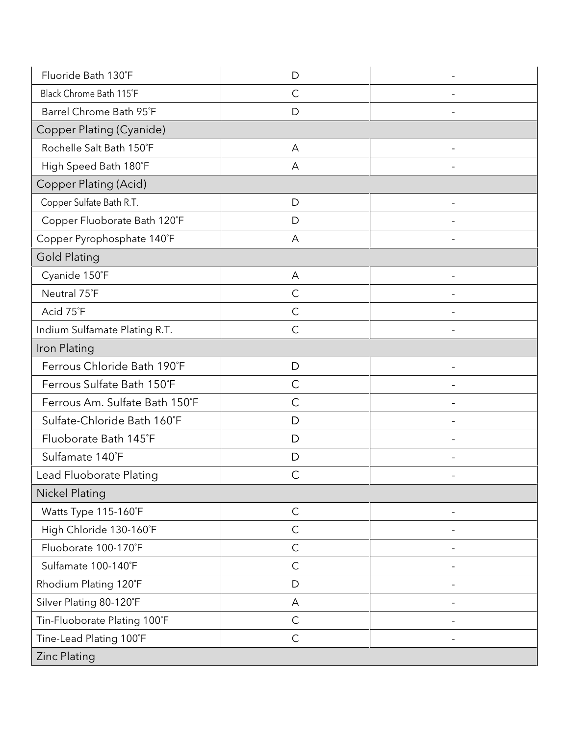| Fluoride Bath 130°F            | D            |  |
|--------------------------------|--------------|--|
| Black Chrome Bath 115°F        | $\mathsf{C}$ |  |
| Barrel Chrome Bath 95°F        | D            |  |
| Copper Plating (Cyanide)       |              |  |
| Rochelle Salt Bath 150°F       | A            |  |
| High Speed Bath 180°F          | A            |  |
| <b>Copper Plating (Acid)</b>   |              |  |
| Copper Sulfate Bath R.T.       | D            |  |
| Copper Fluoborate Bath 120°F   | D            |  |
| Copper Pyrophosphate 140°F     | A            |  |
| <b>Gold Plating</b>            |              |  |
| Cyanide 150°F                  | A            |  |
| Neutral 75°F                   | $\mathsf{C}$ |  |
| Acid 75°F                      | $\mathsf{C}$ |  |
| Indium Sulfamate Plating R.T.  | $\mathsf{C}$ |  |
| Iron Plating                   |              |  |
| Ferrous Chloride Bath 190°F    | D            |  |
| Ferrous Sulfate Bath 150°F     | $\mathsf{C}$ |  |
| Ferrous Am. Sulfate Bath 150°F | C            |  |
| Sulfate-Chloride Bath 160°F    | D            |  |
| Fluoborate Bath 145°F          | D            |  |
| Sulfamate 140°F                | D            |  |
| Lead Fluoborate Plating        | C            |  |
| <b>Nickel Plating</b>          |              |  |
| Watts Type 115-160°F           | $\mathsf C$  |  |
| High Chloride 130-160°F        | $\mathsf{C}$ |  |
| Fluoborate 100-170°F           | $\mathsf C$  |  |
| Sulfamate 100-140°F            | $\mathsf C$  |  |
| Rhodium Plating 120°F          | D            |  |
| Silver Plating 80-120°F        | A            |  |
| Tin-Fluoborate Plating 100°F   | $\mathsf{C}$ |  |
| Tine-Lead Plating 100°F        | $\mathsf C$  |  |
| Zinc Plating                   |              |  |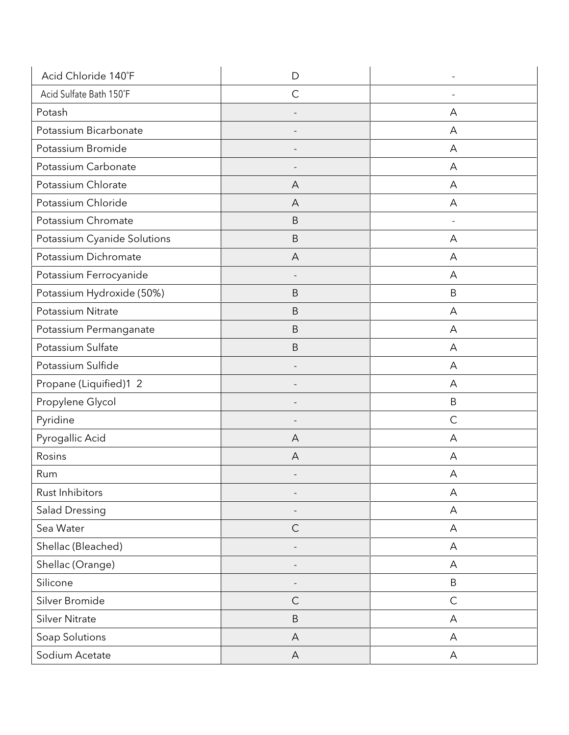| Acid Chloride 140°F         | D              |              |
|-----------------------------|----------------|--------------|
| Acid Sulfate Bath 150°F     | $\overline{C}$ |              |
| Potash                      |                | Α            |
| Potassium Bicarbonate       |                | Α            |
| Potassium Bromide           |                | Α            |
| Potassium Carbonate         |                | A            |
| Potassium Chlorate          | Α              | А            |
| Potassium Chloride          | A              | A            |
| Potassium Chromate          | $\mathsf B$    |              |
| Potassium Cyanide Solutions | B              | A            |
| Potassium Dichromate        | A              | A            |
| Potassium Ferrocyanide      |                | Α            |
| Potassium Hydroxide (50%)   | $\mathsf B$    | B            |
| Potassium Nitrate           | B              | A            |
| Potassium Permanganate      | B              | Α            |
| Potassium Sulfate           | $\mathsf B$    | А            |
| Potassium Sulfide           |                | A            |
| Propane (Liquified)1 2      |                | A            |
| Propylene Glycol            |                | B            |
| Pyridine                    |                | $\mathsf{C}$ |
| Pyrogallic Acid             | A              | A            |
| Rosins                      | A              | A            |
| Rum                         |                | А            |
| Rust Inhibitors             |                | A            |
| <b>Salad Dressing</b>       |                | A            |
| Sea Water                   | $\mathsf{C}$   | А            |
| Shellac (Bleached)          |                | A            |
| Shellac (Orange)            |                | A            |
| Silicone                    |                | $\sf B$      |
| Silver Bromide              | $\mathsf{C}$   | $\mathsf{C}$ |
| <b>Silver Nitrate</b>       | $\sf B$        | A            |
| Soap Solutions              | A              | A            |
| Sodium Acetate              | $\mathsf{A}$   | Α            |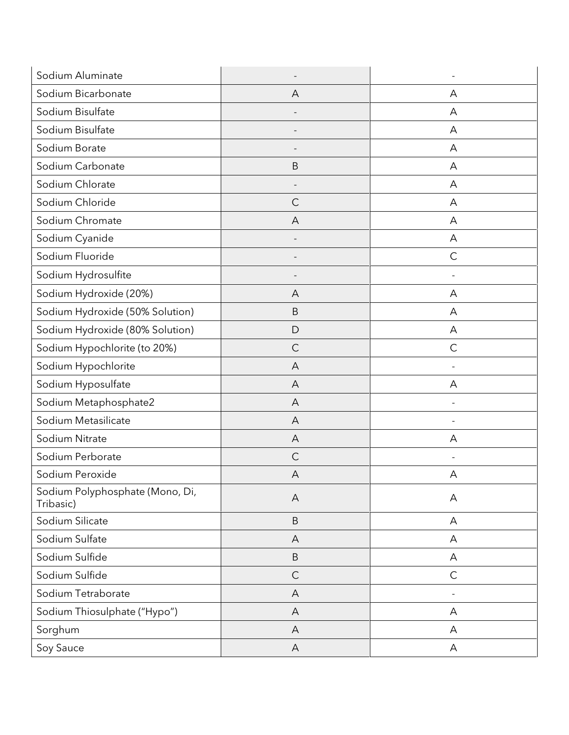| Sodium Aluminate                             |                          |              |
|----------------------------------------------|--------------------------|--------------|
| Sodium Bicarbonate                           | A                        | Α            |
| Sodium Bisulfate                             |                          | А            |
| Sodium Bisulfate                             |                          | Α            |
| Sodium Borate                                |                          | A            |
| Sodium Carbonate                             | $\mathsf B$              | A            |
| Sodium Chlorate                              |                          | А            |
| Sodium Chloride                              | C                        | А            |
| Sodium Chromate                              | A                        | A            |
| Sodium Cyanide                               |                          | A            |
| Sodium Fluoride                              | $\overline{\phantom{a}}$ | $\mathsf C$  |
| Sodium Hydrosulfite                          |                          |              |
| Sodium Hydroxide (20%)                       | A                        | А            |
| Sodium Hydroxide (50% Solution)              | B                        | A            |
| Sodium Hydroxide (80% Solution)              | D                        | А            |
| Sodium Hypochlorite (to 20%)                 | $\mathsf{C}$             | $\mathsf{C}$ |
| Sodium Hypochlorite                          | A                        |              |
| Sodium Hyposulfate                           | A                        | Α            |
| Sodium Metaphosphate2                        | A                        |              |
| Sodium Metasilicate                          | A                        |              |
| Sodium Nitrate                               | $\overline{A}$           | Α            |
| Sodium Perborate                             | $\mathsf{C}$             |              |
| Sodium Peroxide                              | Α                        | А            |
| Sodium Polyphosphate (Mono, Di,<br>Tribasic) | A                        | A            |
| Sodium Silicate                              | $\sf B$                  | А            |
| Sodium Sulfate                               | A                        | A            |
| Sodium Sulfide                               | B                        | А            |
| Sodium Sulfide                               | $\mathsf{C}$             | $\mathsf{C}$ |
| Sodium Tetraborate                           | A                        |              |
| Sodium Thiosulphate ("Hypo")                 | A                        | A            |
| Sorghum                                      | A                        | A            |
| Soy Sauce                                    | A                        | A            |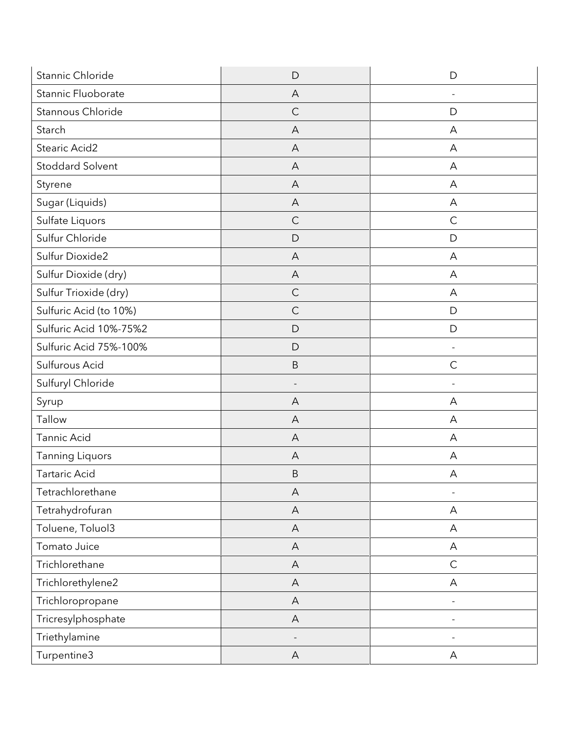| Stannic Chloride        | D                         | D                        |
|-------------------------|---------------------------|--------------------------|
| Stannic Fluoborate      | A                         |                          |
| Stannous Chloride       | $\mathsf{C}$              | D                        |
| Starch                  | Α                         | А                        |
| Stearic Acid2           | A                         | A                        |
| <b>Stoddard Solvent</b> | $\overline{A}$            | A                        |
| Styrene                 | A                         | Α                        |
| Sugar (Liquids)         | A                         | A                        |
| Sulfate Liquors         | $\mathsf{C}$              | $\mathsf C$              |
| Sulfur Chloride         | D                         | D                        |
| Sulfur Dioxide2         | A                         | A                        |
| Sulfur Dioxide (dry)    | A                         | A                        |
| Sulfur Trioxide (dry)   | $\mathsf{C}$              | A                        |
| Sulfuric Acid (to 10%)  | $\mathsf C$               | $\mathsf{D}$             |
| Sulfuric Acid 10%-75%2  | D                         | D                        |
| Sulfuric Acid 75%-100%  | D                         | $\overline{\phantom{a}}$ |
| Sulfurous Acid          | $\sf B$                   | $\mathsf C$              |
| Sulfuryl Chloride       |                           |                          |
| Syrup                   | A                         | A                        |
| Tallow                  | A                         | A                        |
| Tannic Acid             | A                         | A                        |
| <b>Tanning Liquors</b>  | A                         | A                        |
| <b>Tartaric Acid</b>    | $\sf B$                   | А                        |
| Tetrachlorethane        | $\mathsf A$               |                          |
| Tetrahydrofuran         | $\boldsymbol{\mathsf{A}}$ | A                        |
| Toluene, Toluol3        | $\overline{A}$            | A                        |
| Tomato Juice            | A                         | A                        |
| Trichlorethane          | A                         | $\mathsf C$              |
| Trichlorethylene2       | $\overline{A}$            | Α                        |
| Trichloropropane        | A                         |                          |
| Tricresylphosphate      | A                         | ÷,                       |
| Triethylamine           |                           |                          |
| Turpentine3             | A                         | A                        |